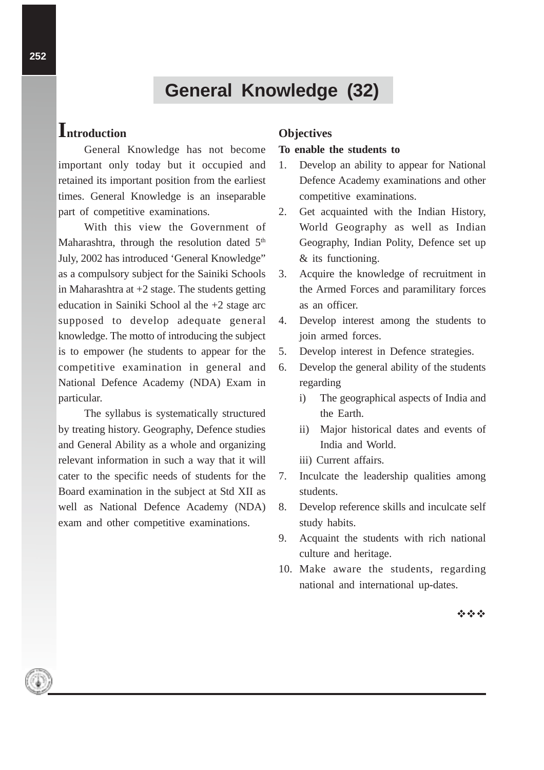# **General Knowledge (32)**

## **Introduction**

General Knowledge has not become important only today but it occupied and retained its important position from the earliest times. General Knowledge is an inseparable part of competitive examinations.

With this view the Government of Maharashtra, through the resolution dated  $5<sup>th</sup>$ July, 2002 has introduced 'General Knowledge" as a compulsory subject for the Sainiki Schools in Maharashtra at +2 stage. The students getting education in Sainiki School al the +2 stage arc supposed to develop adequate general knowledge. The motto of introducing the subject is to empower (he students to appear for the competitive examination in general and National Defence Academy (NDA) Exam in particular.

The syllabus is systematically structured by treating history. Geography, Defence studies and General Ability as a whole and organizing relevant information in such a way that it will cater to the specific needs of students for the Board examination in the subject at Std XII as well as National Defence Academy (NDA) exam and other competitive examinations.

#### **Objectives**

#### **To enable the students to**

- 1. Develop an ability to appear for National Defence Academy examinations and other competitive examinations.
- 2. Get acquainted with the Indian History, World Geography as well as Indian Geography, Indian Polity, Defence set up & its functioning.
- 3. Acquire the knowledge of recruitment in the Armed Forces and paramilitary forces as an officer.
- 4. Develop interest among the students to join armed forces.
- 5. Develop interest in Defence strategies.
- 6. Develop the general ability of the students regarding
	- i) The geographical aspects of India and the Earth.
	- ii) Major historical dates and events of India and World.
	- iii) Current affairs.
- 7. Inculcate the leadership qualities among students.
- 8. Develop reference skills and inculcate self study habits.
- 9. Acquaint the students with rich national culture and heritage.
- 10. Make aware the students, regarding national and international up-dates.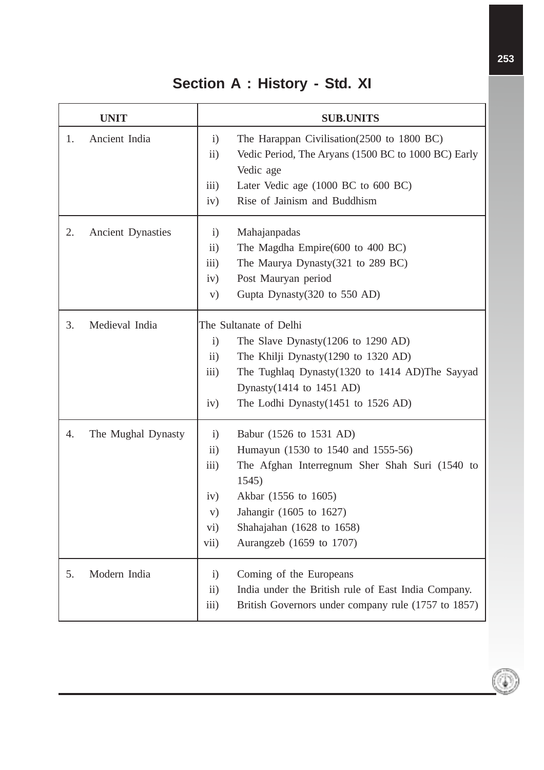# **Section A : History - Std. XI**

| <b>UNIT</b>                    | <b>SUB.UNITS</b>                                                                                                                                                                                                                                                                                                                  |
|--------------------------------|-----------------------------------------------------------------------------------------------------------------------------------------------------------------------------------------------------------------------------------------------------------------------------------------------------------------------------------|
| Ancient India<br>1.            | $\mathbf{i}$<br>The Harappan Civilisation (2500 to 1800 BC)<br>Vedic Period, The Aryans (1500 BC to 1000 BC) Early<br>$\ddot{\mathrm{11}})$<br>Vedic age<br>$\overline{iii}$ )<br>Later Vedic age (1000 BC to 600 BC)<br>Rise of Jainism and Buddhism<br>iv)                                                                      |
| <b>Ancient Dynasties</b><br>2. | Mahajanpadas<br>$\mathbf{i}$<br>$\ddot{i}$<br>The Magdha Empire(600 to 400 BC)<br>iii)<br>The Maurya Dynasty(321 to 289 BC)<br>Post Mauryan period<br>iv)<br>Gupta Dynasty(320 to 550 AD)<br>V)                                                                                                                                   |
| 3.<br>Medieval India           | The Sultanate of Delhi<br>$\mathbf{i}$<br>The Slave Dynasty $(1206 \text{ to } 1290 \text{ AD})$<br>$\rm ii)$<br>The Khilji Dynasty (1290 to 1320 AD)<br>The Tughlaq Dynasty(1320 to 1414 AD)The Sayyad<br>$\overline{iii}$ )<br>Dynasty $(1414$ to $1451$ AD)<br>iv)<br>The Lodhi Dynasty $(1451$ to 1526 AD)                    |
| 4.<br>The Mughal Dynasty       | $\mathbf{i}$<br>Babur (1526 to 1531 AD)<br>$\ddot{\text{1}}$<br>Humayun (1530 to 1540 and 1555-56)<br>The Afghan Interregnum Sher Shah Suri (1540 to<br>$\overline{iii}$ )<br>1545)<br>Akbar (1556 to 1605)<br>iv)<br>Jahangir (1605 to 1627)<br>V)<br>Shahajahan (1628 to 1658)<br>$\rm vi)$<br>Aurangzeb (1659 to 1707)<br>vii) |
| Modern India<br>5.             | Coming of the Europeans<br>$\mathbf{i}$<br>$\ddot{i}$<br>India under the British rule of East India Company.<br>iii)<br>British Governors under company rule (1757 to 1857)                                                                                                                                                       |

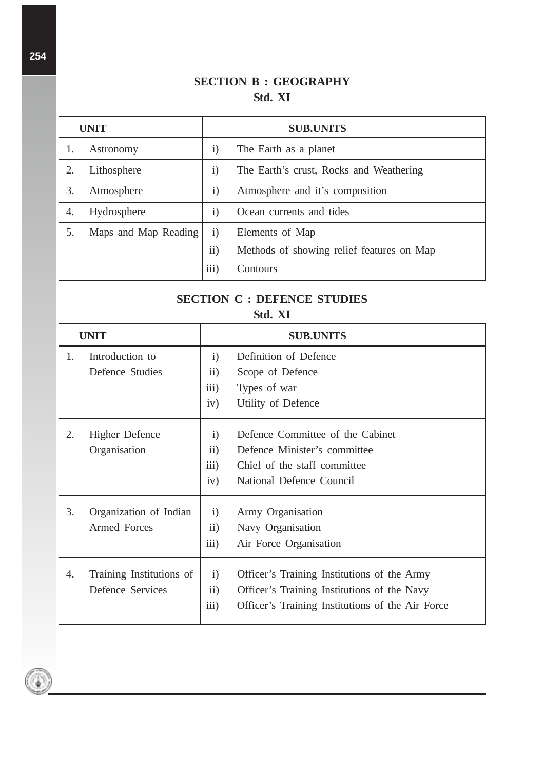#### **SECTION B : GEOGRAPHY Std. XI**

| <b>UNIT</b> |                      |                              | <b>SUB.UNITS</b>                          |
|-------------|----------------------|------------------------------|-------------------------------------------|
| 1.          | Astronomy            | $\left( \frac{1}{2} \right)$ | The Earth as a planet                     |
| 2.          | Lithosphere          | $\rm i)$                     | The Earth's crust, Rocks and Weathering   |
| 3.          | Atmosphere           | $\mathbf{i}$                 | Atmosphere and it's composition           |
| 4.          | Hydrosphere          | $\ddot{1}$                   | Ocean currents and tides                  |
|             | Maps and Map Reading | $\left( \frac{1}{2} \right)$ | Elements of Map                           |
|             |                      | ii)                          | Methods of showing relief features on Map |
|             |                      | iii)                         | Contours                                  |

### **SECTION C : DEFENCE STUDIES Std. XI**

| <b>UNIT</b> |                                                     |                                              | <b>SUB.UNITS</b>                                                                                                                               |
|-------------|-----------------------------------------------------|----------------------------------------------|------------------------------------------------------------------------------------------------------------------------------------------------|
| 1.          | Introduction to<br>Defence Studies                  | $\mathbf{i}$<br>$\mathbf{ii}$<br>iii)<br>iv) | Definition of Defence<br>Scope of Defence<br>Types of war<br>Utility of Defence                                                                |
| 2.          | <b>Higher Defence</b><br>Organisation               | $\mathbf{i}$<br>ii)<br>iii)<br>iv)           | Defence Committee of the Cabinet<br>Defence Minister's committee<br>Chief of the staff committee<br>National Defence Council                   |
| 3.          | Organization of Indian<br><b>Armed Forces</b>       | $\mathbf{i}$<br>$\mathbf{ii}$<br>iii)        | Army Organisation<br>Navy Organisation<br>Air Force Organisation                                                                               |
| 4.          | Training Institutions of<br><b>Defence Services</b> | $\mathbf{i}$<br>$\overline{ii}$ )<br>iii)    | Officer's Training Institutions of the Army<br>Officer's Training Institutions of the Navy<br>Officer's Training Institutions of the Air Force |



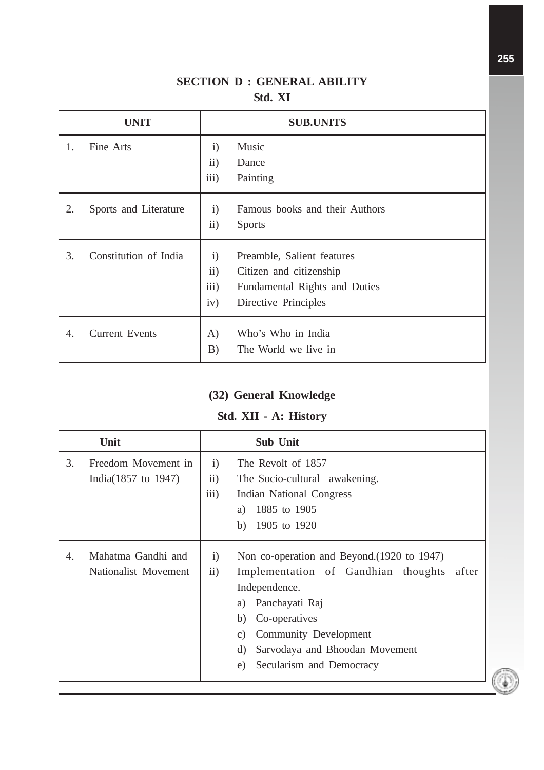#### **SECTION D : GENERAL ABILITY Std. XI**

|    | <b>UNIT</b>           | <b>SUB.UNITS</b>                                                                                                                                     |
|----|-----------------------|------------------------------------------------------------------------------------------------------------------------------------------------------|
| 1. | Fine Arts             | Music<br>$\mathbf{i}$<br>ii)<br>Dance<br>iii)<br>Painting                                                                                            |
| 2. | Sports and Literature | Famous books and their Authors<br>$\mathbf{i}$<br>ii)<br><b>Sports</b>                                                                               |
| 3. | Constitution of India | Preamble, Salient features<br>$\mathbf{i}$<br>ii)<br>Citizen and citizenship<br>iii)<br>Fundamental Rights and Duties<br>iv)<br>Directive Principles |
| 4. | <b>Current Events</b> | Who's Who in India<br>A)<br>The World we live in<br>B)                                                                                               |

#### **(32) General Knowledge**

#### **Std. XII - A: History**

| Unit |                                                        |                                     | <b>Sub Unit</b>                                                                                                                                                                                                                                                   |
|------|--------------------------------------------------------|-------------------------------------|-------------------------------------------------------------------------------------------------------------------------------------------------------------------------------------------------------------------------------------------------------------------|
| 3.   | Freedom Movement in<br>India $(1857 \text{ to } 1947)$ | $\mathbf{i}$<br>$\rm ii)$<br>iii)   | The Revolt of 1857<br>The Socio-cultural awakening.<br>Indian National Congress<br>1885 to 1905<br>a)<br>1905 to 1920<br>b)                                                                                                                                       |
| 4.   | Mahatma Gandhi and<br>Nationalist Movement             | $\mathbf{i}$<br>$\ddot{\mathbf{i}}$ | Non co-operation and Beyond. (1920 to 1947)<br>Implementation of Gandhian thoughts<br>after<br>Independence.<br>a) Panchayati Raj<br>Co-operatives<br>b)<br>Community Development<br>C)<br>Sarvodaya and Bhoodan Movement<br>d)<br>Secularism and Democracy<br>e) |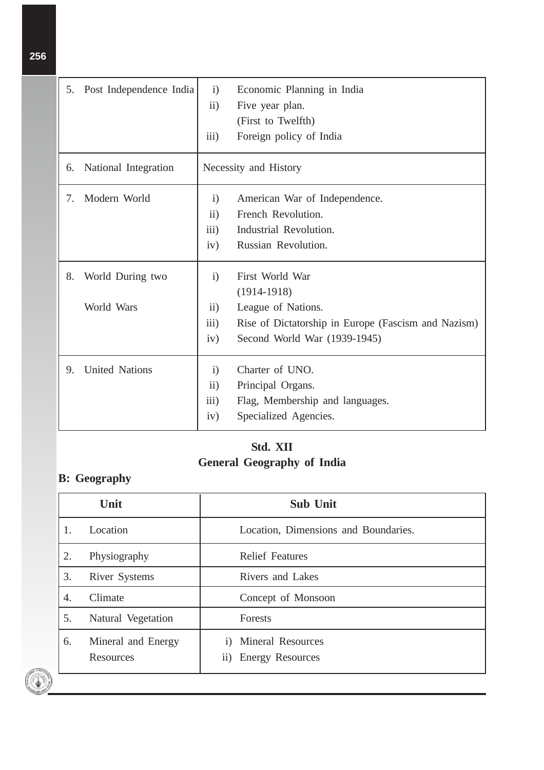| 5. | Post Independence India | $\mathbf{i}$     | Economic Planning in India                          |
|----|-------------------------|------------------|-----------------------------------------------------|
|    |                         | $\ddot{i}$       | Five year plan.                                     |
|    |                         |                  | (First to Twelfth)                                  |
|    |                         | iii)             | Foreign policy of India                             |
| 6. | National Integration    |                  | Necessity and History                               |
| 7. | Modern World            | $\mathbf{i}$     | American War of Independence.                       |
|    |                         | ii)              | French Revolution.                                  |
|    |                         | iii)             | Industrial Revolution.                              |
|    |                         | iv)              | Russian Revolution.                                 |
| 8. | World During two        | $\mathbf{i}$     | First World War                                     |
|    |                         |                  | $(1914-1918)$                                       |
|    | World Wars              | ii)              | League of Nations.                                  |
|    |                         | $\overline{iii}$ | Rise of Dictatorship in Europe (Fascism and Nazism) |
|    |                         | iv)              | Second World War (1939-1945)                        |
| 9. | <b>United Nations</b>   | $\mathbf{i}$     | Charter of UNO.                                     |
|    |                         | ii)              | Principal Organs.                                   |
|    |                         | iii)             | Flag, Membership and languages.                     |
|    |                         | iv)              | Specialized Agencies.                               |
|    |                         |                  |                                                     |

### **Std. XII General Geography of India**

## **B: Geography**

۰

|    | Unit                                   | <b>Sub Unit</b>                                                  |
|----|----------------------------------------|------------------------------------------------------------------|
|    | Location                               | Location, Dimensions and Boundaries.                             |
| 2. | Physiography                           | <b>Relief Features</b>                                           |
| 3. | <b>River Systems</b>                   | Rivers and Lakes                                                 |
| 4. | Climate                                | Concept of Monsoon                                               |
| 5. | Natural Vegetation                     | Forests                                                          |
| 6. | Mineral and Energy<br><b>Resources</b> | <b>Mineral Resources</b><br>$\mathbf{i}$<br>ii) Energy Resources |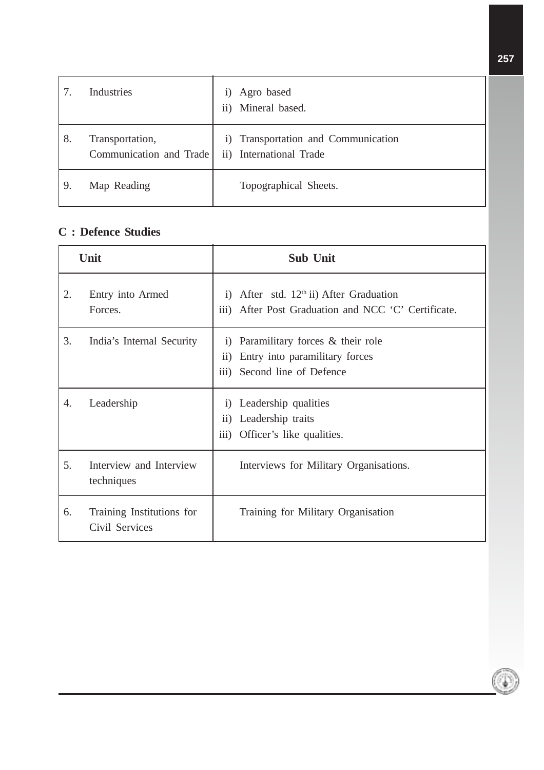|    | Industries                                 | Agro based<br>1)<br>Mineral based.<br>$\mathbf{ii}$            |
|----|--------------------------------------------|----------------------------------------------------------------|
| 8. | Transportation,<br>Communication and Trade | i) Transportation and Communication<br>ii) International Trade |
| 9. | Map Reading                                | Topographical Sheets.                                          |

#### **C : Defence Studies**

| Unit |                                             | <b>Sub Unit</b>                                                                                                                            |
|------|---------------------------------------------|--------------------------------------------------------------------------------------------------------------------------------------------|
| 2.   | Entry into Armed<br>Forces.                 | i) After std. $12th$ ii) After Graduation<br>After Post Graduation and NCC 'C' Certificate.<br>$\overline{111}$ )                          |
| 3.   | India's Internal Security                   | Paramilitary forces & their role<br>$\bf{1)}$<br>Entry into paramilitary forces<br>$\rm ii)$<br>Second line of Defence<br>$\overline{iii}$ |
| 4.   | Leadership                                  | Leadership qualities<br>$\left( \right)$<br>Leadership traits<br>$\mathbf{ii}$<br>iii) Officer's like qualities.                           |
| 5.   | Interview and Interview<br>techniques       | Interviews for Military Organisations.                                                                                                     |
| 6.   | Training Institutions for<br>Civil Services | Training for Military Organisation                                                                                                         |